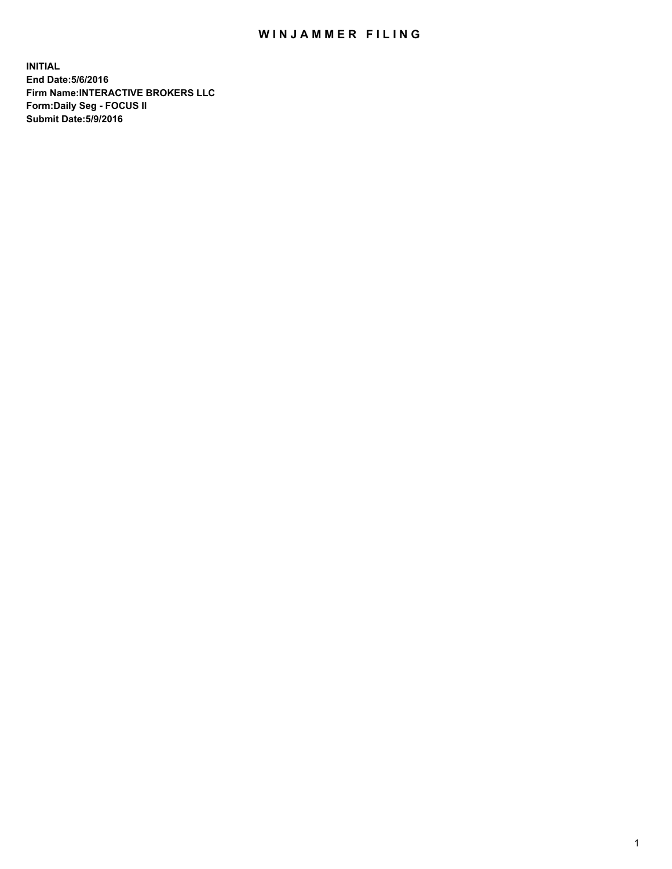## WIN JAMMER FILING

**INITIAL End Date:5/6/2016 Firm Name:INTERACTIVE BROKERS LLC Form:Daily Seg - FOCUS II Submit Date:5/9/2016**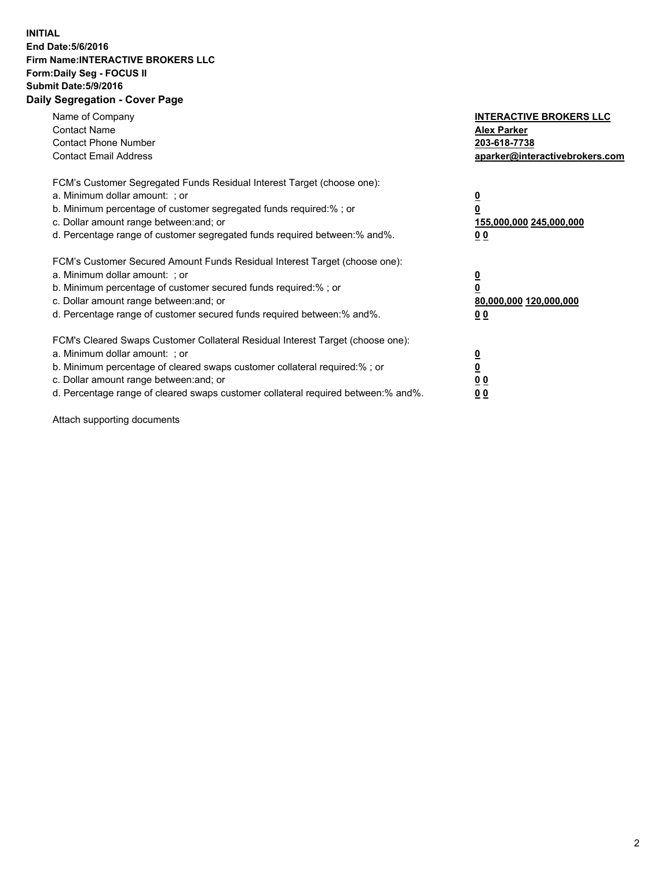## **INITIAL End Date:5/6/2016 Firm Name:INTERACTIVE BROKERS LLC Form:Daily Seg - FOCUS II Submit Date:5/9/2016 Daily Segregation - Cover Page**

| Name of Company<br><b>Contact Name</b><br><b>Contact Phone Number</b><br><b>Contact Email Address</b>                                                                                                                                                                                                                          | <b>INTERACTIVE BROKERS LLC</b><br><b>Alex Parker</b><br>203-618-7738<br>aparker@interactivebrokers.com |
|--------------------------------------------------------------------------------------------------------------------------------------------------------------------------------------------------------------------------------------------------------------------------------------------------------------------------------|--------------------------------------------------------------------------------------------------------|
| FCM's Customer Segregated Funds Residual Interest Target (choose one):<br>a. Minimum dollar amount: ; or<br>b. Minimum percentage of customer segregated funds required:%; or<br>c. Dollar amount range between: and; or<br>d. Percentage range of customer segregated funds required between:% and%.                          | <u>0</u><br>155,000,000 245,000,000<br><u>00</u>                                                       |
| FCM's Customer Secured Amount Funds Residual Interest Target (choose one):<br>a. Minimum dollar amount: ; or<br>b. Minimum percentage of customer secured funds required:%; or<br>c. Dollar amount range between: and; or<br>d. Percentage range of customer secured funds required between:% and%.                            | <u>0</u><br>80,000,000 120,000,000<br>0 <sub>0</sub>                                                   |
| FCM's Cleared Swaps Customer Collateral Residual Interest Target (choose one):<br>a. Minimum dollar amount: ; or<br>b. Minimum percentage of cleared swaps customer collateral required:% ; or<br>c. Dollar amount range between: and; or<br>d. Percentage range of cleared swaps customer collateral required between:% and%. | ₫<br>0 <sub>0</sub><br>0 <sub>0</sub>                                                                  |

Attach supporting documents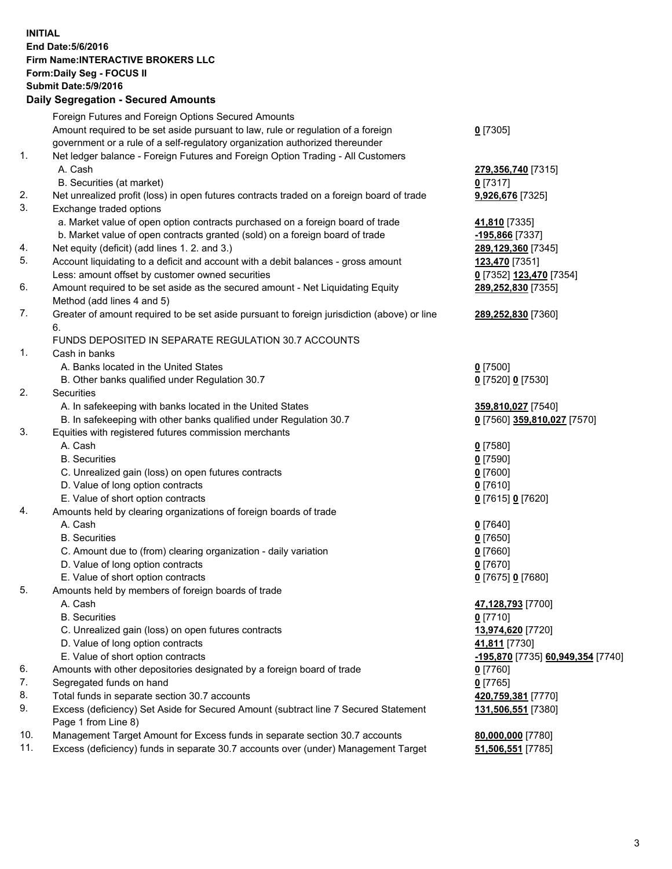## **INITIAL End Date:5/6/2016 Firm Name:INTERACTIVE BROKERS LLC Form:Daily Seg - FOCUS II Submit Date:5/9/2016 Daily Segregation - Secured Amounts**

|     | Foreign Futures and Foreign Options Secured Amounts                                         |                                   |
|-----|---------------------------------------------------------------------------------------------|-----------------------------------|
|     | Amount required to be set aside pursuant to law, rule or regulation of a foreign            | $0$ [7305]                        |
|     | government or a rule of a self-regulatory organization authorized thereunder                |                                   |
| 1.  | Net ledger balance - Foreign Futures and Foreign Option Trading - All Customers             |                                   |
|     | A. Cash                                                                                     | 279,356,740 [7315]                |
|     | B. Securities (at market)                                                                   | $0$ [7317]                        |
| 2.  | Net unrealized profit (loss) in open futures contracts traded on a foreign board of trade   | 9,926,676 [7325]                  |
| 3.  | Exchange traded options                                                                     |                                   |
|     | a. Market value of open option contracts purchased on a foreign board of trade              | 41,810 [7335]                     |
|     | b. Market value of open contracts granted (sold) on a foreign board of trade                | -195,866 [7337]                   |
| 4.  | Net equity (deficit) (add lines 1.2. and 3.)                                                | 289,129,360 [7345]                |
| 5.  | Account liquidating to a deficit and account with a debit balances - gross amount           | 123,470 [7351]                    |
|     | Less: amount offset by customer owned securities                                            | 0 [7352] 123,470 [7354]           |
| 6.  | Amount required to be set aside as the secured amount - Net Liquidating Equity              | 289,252,830 [7355]                |
|     | Method (add lines 4 and 5)                                                                  |                                   |
| 7.  | Greater of amount required to be set aside pursuant to foreign jurisdiction (above) or line | 289,252,830 [7360]                |
|     |                                                                                             |                                   |
|     | 6.<br>FUNDS DEPOSITED IN SEPARATE REGULATION 30.7 ACCOUNTS                                  |                                   |
| 1.  | Cash in banks                                                                               |                                   |
|     | A. Banks located in the United States                                                       |                                   |
|     |                                                                                             | $0$ [7500]                        |
| 2.  | B. Other banks qualified under Regulation 30.7                                              | 0 [7520] 0 [7530]                 |
|     | Securities                                                                                  |                                   |
|     | A. In safekeeping with banks located in the United States                                   | 359,810,027 [7540]                |
|     | B. In safekeeping with other banks qualified under Regulation 30.7                          | 0 [7560] 359,810,027 [7570]       |
| 3.  | Equities with registered futures commission merchants                                       |                                   |
|     | A. Cash                                                                                     | $0$ [7580]                        |
|     | <b>B.</b> Securities                                                                        | $0$ [7590]                        |
|     | C. Unrealized gain (loss) on open futures contracts                                         | $0$ [7600]                        |
|     | D. Value of long option contracts                                                           | $0$ [7610]                        |
|     | E. Value of short option contracts                                                          | 0 [7615] 0 [7620]                 |
| 4.  | Amounts held by clearing organizations of foreign boards of trade                           |                                   |
|     | A. Cash                                                                                     | $0$ [7640]                        |
|     | <b>B.</b> Securities                                                                        | $0$ [7650]                        |
|     | C. Amount due to (from) clearing organization - daily variation                             | $0$ [7660]                        |
|     | D. Value of long option contracts                                                           | $0$ [7670]                        |
|     | E. Value of short option contracts                                                          | 0 [7675] 0 [7680]                 |
| 5.  | Amounts held by members of foreign boards of trade                                          |                                   |
|     | A. Cash                                                                                     | 47,128,793 [7700]                 |
|     | <b>B.</b> Securities                                                                        | $0$ [7710]                        |
|     | C. Unrealized gain (loss) on open futures contracts                                         | 13,974,620 [7720]                 |
|     | D. Value of long option contracts                                                           | 41,811 [7730]                     |
|     | E. Value of short option contracts                                                          | -195,870 [7735] 60,949,354 [7740] |
| 6.  | Amounts with other depositories designated by a foreign board of trade                      | $0$ [7760]                        |
| 7.  | Segregated funds on hand                                                                    | $0$ [7765]                        |
| 8.  | Total funds in separate section 30.7 accounts                                               | 420,759,381 [7770]                |
| 9.  | Excess (deficiency) Set Aside for Secured Amount (subtract line 7 Secured Statement         | 131,506,551 [7380]                |
|     | Page 1 from Line 8)                                                                         |                                   |
| 10. | Management Target Amount for Excess funds in separate section 30.7 accounts                 | 80,000,000 [7780]                 |
| 11. | Excess (deficiency) funds in separate 30.7 accounts over (under) Management Target          | 51,506,551 [7785]                 |
|     |                                                                                             |                                   |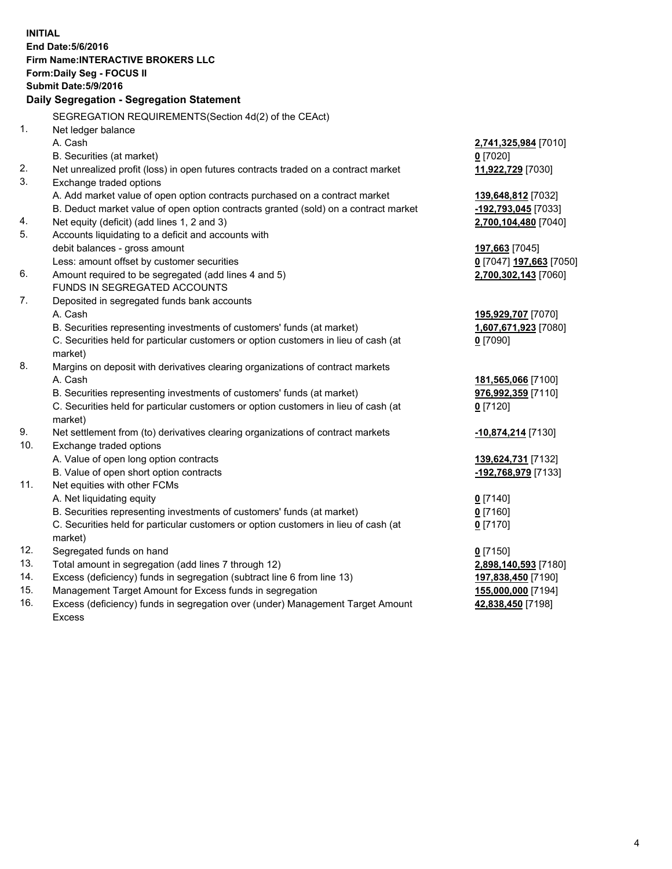**INITIAL End Date:5/6/2016 Firm Name:INTERACTIVE BROKERS LLC Form:Daily Seg - FOCUS II Submit Date:5/9/2016 Daily Segregation - Segregation Statement** SEGREGATION REQUIREMENTS(Section 4d(2) of the CEAct) 1. Net ledger balance A. Cash **2,741,325,984** [7010] B. Securities (at market) **0** [7020] 2. Net unrealized profit (loss) in open futures contracts traded on a contract market **11,922,729** [7030] 3. Exchange traded options A. Add market value of open option contracts purchased on a contract market **139,648,812** [7032] B. Deduct market value of open option contracts granted (sold) on a contract market **-192,793,045** [7033] 4. Net equity (deficit) (add lines 1, 2 and 3) **2,700,104,480** [7040] 5. Accounts liquidating to a deficit and accounts with debit balances - gross amount **197,663** [7045] Less: amount offset by customer securities **0** [7047] **197,663** [7050] 6. Amount required to be segregated (add lines 4 and 5) **2,700,302,143** [7060] FUNDS IN SEGREGATED ACCOUNTS 7. Deposited in segregated funds bank accounts A. Cash **195,929,707** [7070] B. Securities representing investments of customers' funds (at market) **1,607,671,923** [7080] C. Securities held for particular customers or option customers in lieu of cash (at market) **0** [7090] 8. Margins on deposit with derivatives clearing organizations of contract markets A. Cash **181,565,066** [7100] B. Securities representing investments of customers' funds (at market) **976,992,359** [7110] C. Securities held for particular customers or option customers in lieu of cash (at market) **0** [7120] 9. Net settlement from (to) derivatives clearing organizations of contract markets **-10,874,214** [7130] 10. Exchange traded options A. Value of open long option contracts **139,624,731** [7132] B. Value of open short option contracts **-192,768,979** [7133] 11. Net equities with other FCMs A. Net liquidating equity **0** [7140] B. Securities representing investments of customers' funds (at market) **0** [7160] C. Securities held for particular customers or option customers in lieu of cash (at market) **0** [7170] 12. Segregated funds on hand **0** [7150] 13. Total amount in segregation (add lines 7 through 12) **2,898,140,593** [7180] 14. Excess (deficiency) funds in segregation (subtract line 6 from line 13) **197,838,450** [7190] 15. Management Target Amount for Excess funds in segregation **155,000,000** [7194] 16. Excess (deficiency) funds in segregation over (under) Management Target Amount Excess **42,838,450** [7198]